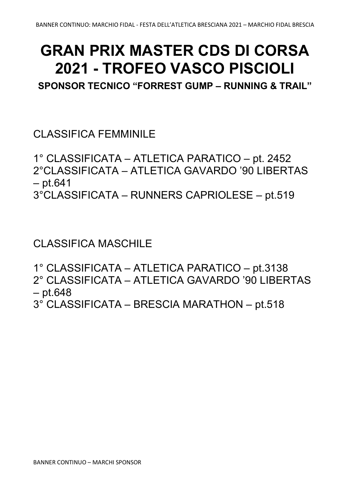## **GRAN PRIX MASTER CDS DI CORSA 2021 - TROFEO VASCO PISCIOLI**

**SPONSOR TECNICO "FORREST GUMP – RUNNING & TRAIL"**

CLASSIFICA FEMMINILE

1° CLASSIFICATA – ATLETICA PARATICO – pt. 2452 2°CLASSIFICATA – ATLETICA GAVARDO '90 LIBERTAS – pt.641 3°CLASSIFICATA – RUNNERS CAPRIOLESE – pt.519

CLASSIFICA MASCHILE

1° CLASSIFICATA – ATLETICA PARATICO – pt.3138 2° CLASSIFICATA – ATLETICA GAVARDO '90 LIBERTAS – pt.648 3° CLASSIFICATA – BRESCIA MARATHON – pt.518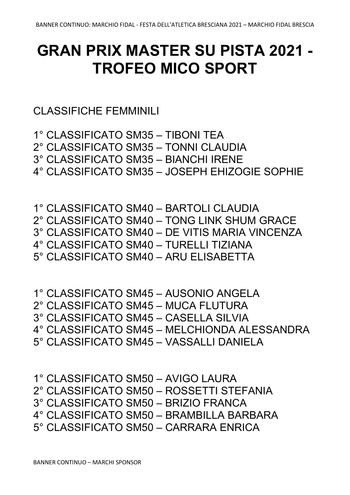## **GRAN PRIX MASTER SU PISTA 2021 - TROFEO MICO SPORT**

CLASSIFICHE FEMMINILI

BANNER CONTINUO – MARCHI SPONSOR

1° CLASSIFICATO SM35 – TIBONI TEA 2° CLASSIFICATO SM35 – TONNI CLAUDIA 3° CLASSIFICATO SM35 – BIANCHI IRENE 4° CLASSIFICATO SM35 – JOSEPH EHIZOGIE SOPHIE

1° CLASSIFICATO SM40 – BARTOLI CLAUDIA 2° CLASSIFICATO SM40 – TONG LINK SHUM GRACE 3° CLASSIFICATO SM40 – DE VITIS MARIA VINCENZA 4° CLASSIFICATO SM40 – TURELLI TIZIANA 5° CLASSIFICATO SM40 – ARU ELISABETTA

1° CLASSIFICATO SM45 – AUSONIO ANGELA 2° CLASSIFICATO SM45 – MUCA FLUTURA 3° CLASSIFICATO SM45 – CASELLA SILVIA 4° CLASSIFICATO SM45 – MELCHIONDA ALESSANDRA

2° CLASSIFICATO SM50 – ROSSETTI STEFANIA

4° CLASSIFICATO SM50 – BRAMBILLA BARBARA

1° CLASSIFICATO SM50 – AVIGO LAURA

3° CLASSIFICATO SM50 – BRIZIO FRANCA

5° CLASSIFICATO SM50 – CARRARA ENRICA

5° CLASSIFICATO SM45 – VASSALLI DANIELA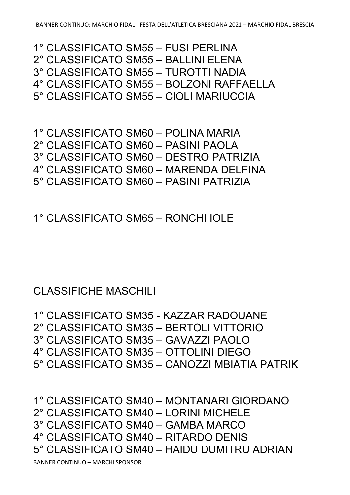5° CLASSIFICATO SM40 – HAIDU DUMITRU ADRIAN

4° CLASSIFICATO SM40 – RITARDO DENIS

2° CLASSIFICATO SM40 – LORINI MICHELE 3° CLASSIFICATO SM40 – GAMBA MARCO

1° CLASSIFICATO SM40 – MONTANARI GIORDANO

5° CLASSIFICATO SM35 – CANOZZI MBIATIA PATRIK

4° CLASSIFICATO SM35 – OTTOLINI DIEGO

3° CLASSIFICATO SM35 – GAVAZZI PAOLO

1° CLASSIFICATO SM35 - KAZZAR RADOUANE 2° CLASSIFICATO SM35 – BERTOLI VITTORIO

CLASSIFICHE MASCHILI

1° CLASSIFICATO SM65 – RONCHI IOLE

5° CLASSIFICATO SM60 – PASINI PATRIZIA

4° CLASSIFICATO SM60 – MARENDA DELFINA

3° CLASSIFICATO SM60 – DESTRO PATRIZIA

2° CLASSIFICATO SM60 – PASINI PAOLA

1° CLASSIFICATO SM60 – POLINA MARIA

5° CLASSIFICATO SM55 – CIOLI MARIUCCIA

2° CLASSIFICATO SM55 – BALLINI ELENA 3° CLASSIFICATO SM55 – TUROTTI NADIA 4° CLASSIFICATO SM55 – BOLZONI RAFFAELLA

1° CLASSIFICATO SM55 – FUSI PERLINA

BANNER CONTINUO: MARCHIO FIDAL - FESTA DELL'ATLETICA BRESCIANA 2021 – MARCHIO FIDAL BRESCIA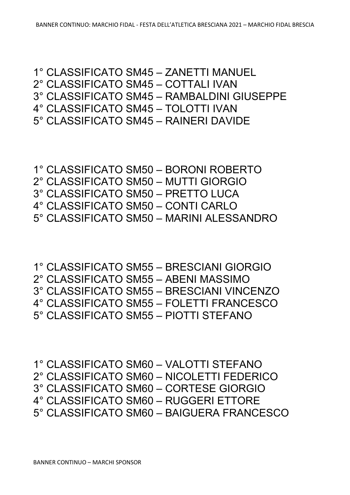1° CLASSIFICATO SM60 – VALOTTI STEFANO 2° CLASSIFICATO SM60 – NICOLETTI FEDERICO 3° CLASSIFICATO SM60 – CORTESE GIORGIO 4° CLASSIFICATO SM60 – RUGGERI ETTORE 5° CLASSIFICATO SM60 – BAIGUERA FRANCESCO

1° CLASSIFICATO SM55 – BRESCIANI GIORGIO 2° CLASSIFICATO SM55 – ABENI MASSIMO 3° CLASSIFICATO SM55 – BRESCIANI VINCENZO 4° CLASSIFICATO SM55 – FOLETTI FRANCESCO 5° CLASSIFICATO SM55 – PIOTTI STEFANO

1° CLASSIFICATO SM50 – BORONI ROBERTO 2° CLASSIFICATO SM50 – MUTTI GIORGIO 3° CLASSIFICATO SM50 – PRETTO LUCA 4° CLASSIFICATO SM50 – CONTI CARLO 5° CLASSIFICATO SM50 – MARINI ALESSANDRO

1° CLASSIFICATO SM45 – ZANETTI MANUEL 2° CLASSIFICATO SM45 – COTTALI IVAN 3° CLASSIFICATO SM45 – RAMBALDINI GIUSEPPE 4° CLASSIFICATO SM45 – TOLOTTI IVAN 5° CLASSIFICATO SM45 – RAINERI DAVIDE